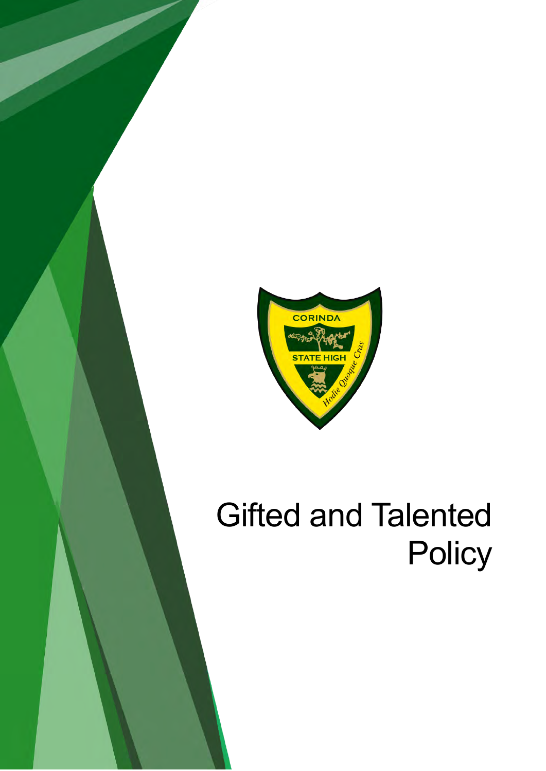

# Gifted and Talented **Policy**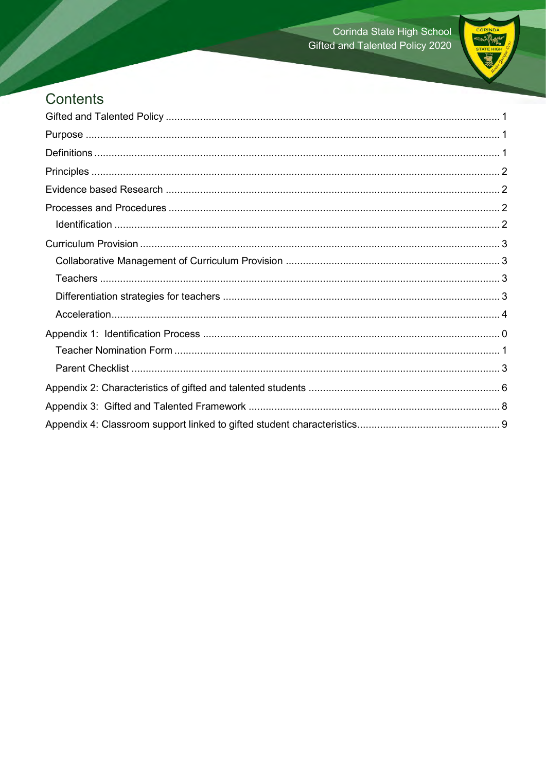

### Contents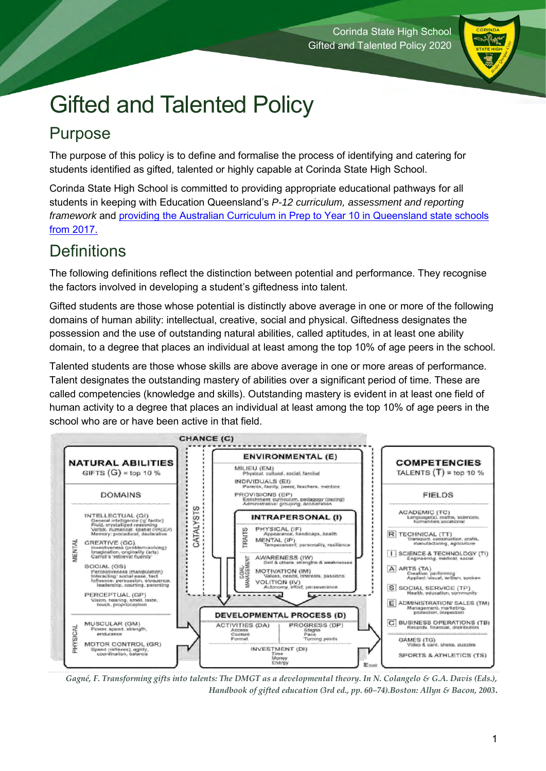

## <span id="page-2-0"></span>Gifted and Talented Policy

## <span id="page-2-1"></span>Purpose

The purpose of this policy is to define and formalise the process of identifying and catering for students identified as gifted, talented or highly capable at Corinda State High School.

Corinda State High School is committed to providing appropriate educational pathways for all students in keeping with Education Queensland's *[P-12 curriculum, assessment and reporting](http://education.qld.gov.au/curriculum/framework/p-12/docs/p-12-carf-requirements.pdf)  [framework](http://education.qld.gov.au/curriculum/framework/p-12/docs/p-12-carf-requirements.pdf)* and providing [the Australian Curriculum in Prep to Year 10 in Queensland state schools](http://education.qld.gov.au/curriculum/framework/p-12/docs/providing-curriculum.pdf)  [from 2017.](http://education.qld.gov.au/curriculum/framework/p-12/docs/providing-curriculum.pdf)

### <span id="page-2-2"></span>**Definitions**

The following definitions reflect the distinction between potential and performance. They recognise the factors involved in developing a student's giftedness into talent.

Gifted students are those whose potential is distinctly above average in one or more of the following domains of human ability: intellectual, creative, social and physical. Giftedness designates the possession and the use of outstanding natural abilities, called aptitudes, in at least one ability domain, to a degree that places an individual at least among the top 10% of age peers in the school.

Talented students are those whose skills are above average in one or more areas of performance. Talent designates the outstanding mastery of abilities over a significant period of time. These are called competencies (knowledge and skills). Outstanding mastery is evident in at least one field of human activity to a degree that places an individual at least among the top 10% of age peers in the school who are or have been active in that field.



*Gagné, F. Transforming gifts into talents: The DMGT as a developmental theory. In N. Colangelo & G.A. Davis (Eds.), Handbook of gifted education (3rd ed., pp. 60–74).Boston: Allyn & Bacon, 2003***.**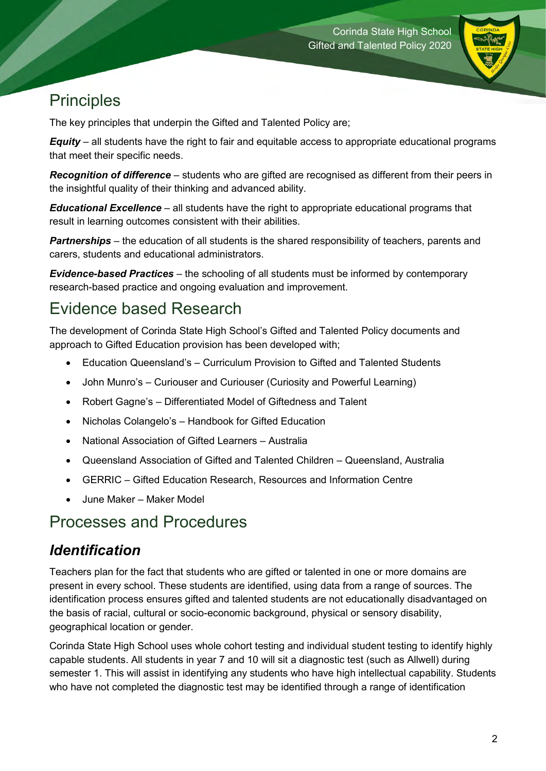

### <span id="page-3-0"></span>**Principles**

The key principles that underpin the Gifted and Talented Policy are;

*Equity* – all students have the right to fair and equitable access to appropriate educational programs that meet their specific needs.

*Recognition of difference* – students who are gifted are recognised as different from their peers in the insightful quality of their thinking and advanced ability.

*Educational Excellence* – all students have the right to appropriate educational programs that result in learning outcomes consistent with their abilities.

**Partnerships** – the education of all students is the shared responsibility of teachers, parents and carers, students and educational administrators.

*Evidence-based Practices* – the schooling of all students must be informed by contemporary research-based practice and ongoing evaluation and improvement.

### <span id="page-3-1"></span>Evidence based Research

The development of Corinda State High School's Gifted and Talented Policy documents and approach to Gifted Education provision has been developed with;

- Education Queensland's Curriculum Provision to Gifted and Talented Students
- John Munro's Curiouser and Curiouser (Curiosity and Powerful Learning)
- Robert Gagne's Differentiated Model of Giftedness and Talent
- Nicholas Colangelo's Handbook for Gifted Education
- National Association of Gifted Learners Australia
- Queensland Association of Gifted and Talented Children Queensland, Australia
- GERRIC Gifted Education Research, Resources and Information Centre
- June Maker Maker Model

### <span id="page-3-2"></span>Processes and Procedures

### <span id="page-3-3"></span>*Identification*

Teachers plan for the fact that students who are gifted or talented in one or more domains are present in every school. These students are identified, using data from a range of sources. The identification process ensures gifted and talented students are not educationally disadvantaged on the basis of racial, cultural or socio-economic background, physical or sensory disability, geographical location or gender.

Corinda State High School uses whole cohort testing and individual student testing to identify highly capable students. All students in year 7 and 10 will sit a diagnostic test (such as Allwell) during semester 1. This will assist in identifying any students who have high intellectual capability. Students who have not completed the diagnostic test may be identified through a range of identification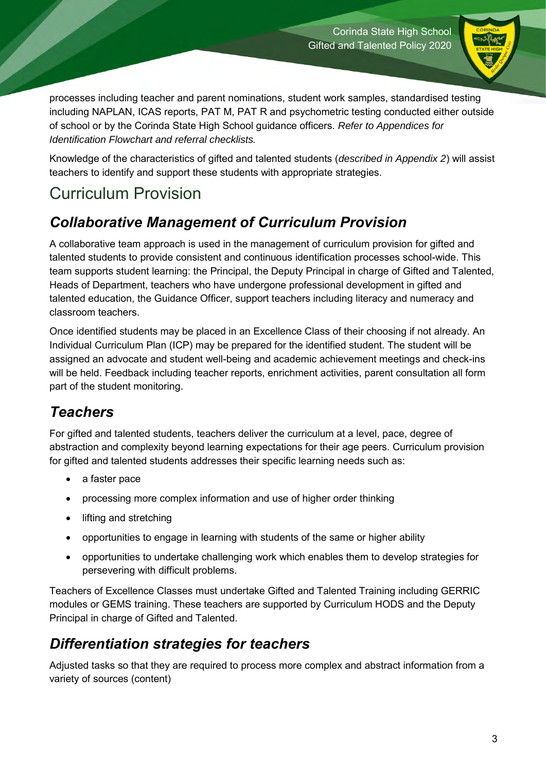

processes including teacher and parent nominations, student work samples, standardised testing including NAPLAN, ICAS reports, PAT M, PAT R and psychometric testing conducted either outside of school or by the Corinda State High School guidance officers. *Refer to Appendices for Identification Flowchart and referral checklists.* 

Knowledge of the characteristics of gifted and talented students (*described in Appendix 2*) will assist teachers to identify and support these students with appropriate strategies.

### <span id="page-4-0"></span>Curriculum Provision

### <span id="page-4-1"></span>*Collaborative Management of Curriculum Provision*

A collaborative team approach is used in the management of curriculum provision for gifted and talented students to provide consistent and continuous identification processes school-wide. This team supports student learning: the Principal, the Deputy Principal in charge of Gifted and Talented, Heads of Department, teachers who have undergone professional development in gifted and talented education, the Guidance Officer, support teachers including literacy and numeracy and classroom teachers.

Once identified students may be placed in an Excellence Class of their choosing if not already. An Individual Curriculum Plan (ICP) may be prepared for the identified student. The student will be assigned an advocate and student well-being and academic achievement meetings and check-ins will be held. Feedback including teacher reports, enrichment activities, parent consultation all form part of the student monitoring.

### <span id="page-4-2"></span>*Teachers*

For gifted and talented students, teachers deliver the curriculum at a level, pace, degree of abstraction and complexity beyond learning expectations for their age peers. Curriculum provision for gifted and talented students addresses their specific learning needs such as:

- a faster pace
- processing more complex information and use of higher order thinking
- lifting and stretching
- opportunities to engage in learning with students of the same or higher ability
- opportunities to undertake challenging work which enables them to develop strategies for persevering with difficult problems.

Teachers of Excellence Classes must undertake Gifted and Talented Training including GERRIC modules or GEMS training. These teachers are supported by Curriculum HODS and the Deputy Principal in charge of Gifted and Talented.

### <span id="page-4-3"></span>*Differentiation strategies for teachers*

Adjusted tasks so that they are required to process more complex and abstract information from a variety of sources (content)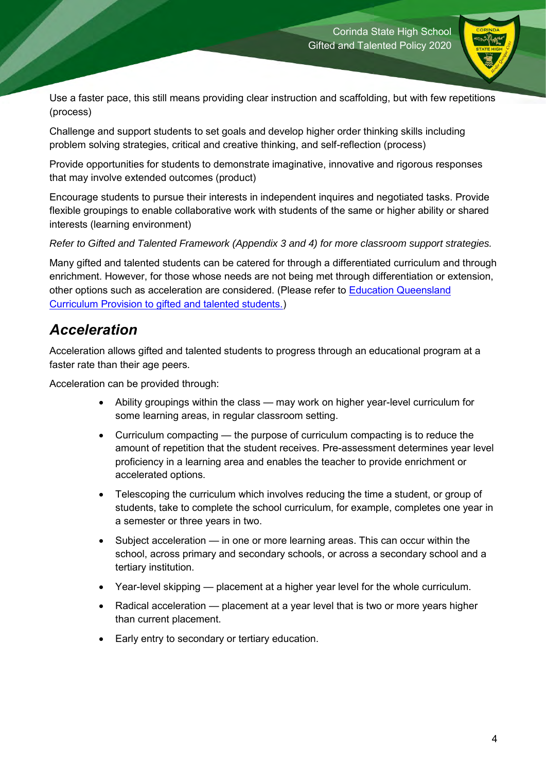

Use a faster pace, this still means providing clear instruction and scaffolding, but with few repetitions (process)

Challenge and support students to set goals and develop higher order thinking skills including problem solving strategies, critical and creative thinking, and self-reflection (process)

Provide opportunities for students to demonstrate imaginative, innovative and rigorous responses that may involve extended outcomes (product)

Encourage students to pursue their interests in independent inquires and negotiated tasks. Provide flexible groupings to enable collaborative work with students of the same or higher ability or shared interests (learning environment)

*Refer to Gifted and Talented Framework (Appendix 3 and 4) for more classroom support strategies.* 

Many gifted and talented students can be catered for through a differentiated curriculum and through enrichment. However, for those whose needs are not being met through differentiation or extension, other options such as acceleration are considered. (Please refer to [Education Queensland](https://education.qld.gov.au/curriculums/Documents/policy-gifted-talented.doc)  [Curriculum Provision to gifted and talented students.\)](https://education.qld.gov.au/curriculums/Documents/policy-gifted-talented.doc)

### <span id="page-5-0"></span>*Acceleration*

Acceleration allows gifted and talented students to progress through an educational program at a faster rate than their age peers.

Acceleration can be provided through:

- Ability groupings within the class may work on higher year-level curriculum for some learning areas, in regular classroom setting.
- Curriculum compacting the purpose of curriculum compacting is to reduce the amount of repetition that the student receives. Pre-assessment determines year level proficiency in a learning area and enables the teacher to provide enrichment or accelerated options.
- Telescoping the curriculum which involves reducing the time a student, or group of students, take to complete the school curriculum, for example, completes one year in a semester or three years in two.
- Subject acceleration in one or more learning areas. This can occur within the school, across primary and secondary schools, or across a secondary school and a tertiary institution.
- Year-level skipping placement at a higher year level for the whole curriculum.
- Radical acceleration placement at a year level that is two or more years higher than current placement.
- Early entry to secondary or tertiary education.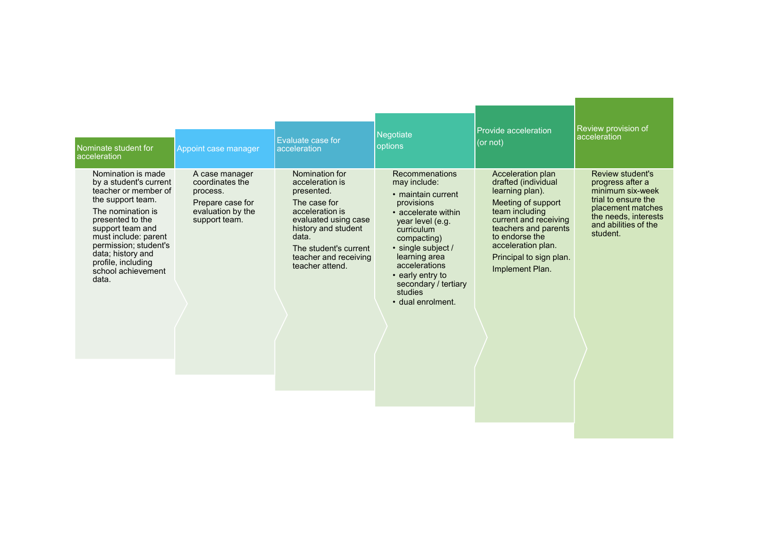<span id="page-6-0"></span>

| Nominate student for                                                                                                                                                                                                                                                              | Appoint case manager                                                                                    | Evaluate case for                                                                                                                                                                                               | Negotiate                                                                                                                                                                                                                                                                      | Provide acceleration                                                                                                                                                                                                                       | Review provision of                                                                                                                                              |
|-----------------------------------------------------------------------------------------------------------------------------------------------------------------------------------------------------------------------------------------------------------------------------------|---------------------------------------------------------------------------------------------------------|-----------------------------------------------------------------------------------------------------------------------------------------------------------------------------------------------------------------|--------------------------------------------------------------------------------------------------------------------------------------------------------------------------------------------------------------------------------------------------------------------------------|--------------------------------------------------------------------------------------------------------------------------------------------------------------------------------------------------------------------------------------------|------------------------------------------------------------------------------------------------------------------------------------------------------------------|
| <b>acceleration</b>                                                                                                                                                                                                                                                               |                                                                                                         | acceleration                                                                                                                                                                                                    | options                                                                                                                                                                                                                                                                        | (or not)                                                                                                                                                                                                                                   | acceleration                                                                                                                                                     |
| Nomination is made<br>by a student's current<br>teacher or member of<br>the support team.<br>The nomination is<br>presented to the<br>support team and<br>must include: parent<br>permission; student's<br>data; history and<br>profile, including<br>school achievement<br>data. | A case manager<br>coordinates the<br>process.<br>Prepare case for<br>evaluation by the<br>support team. | Nomination for<br>acceleration is<br>presented.<br>The case for<br>acceleration is<br>evaluated using case<br>history and student<br>data.<br>The student's current<br>teacher and receiving<br>teacher attend. | Recommenations<br>may include:<br>• maintain current<br>provisions<br>• accelerate within<br>year level (e.g.<br>curriculum<br>compacting)<br>• single subject /<br>learning area<br>accelerations<br>• early entry to<br>secondary / tertiary<br>studies<br>· dual enrolment. | Acceleration plan<br>drafted (individual<br>learning plan).<br>Meeting of support<br>team including<br>current and receiving<br>teachers and parents<br>to endorse the<br>acceleration plan.<br>Principal to sign plan.<br>Implement Plan. | Review student's<br>progress after a<br>minimum six-week<br>trial to ensure the<br>placement matches<br>the needs, interests<br>and abilities of the<br>student. |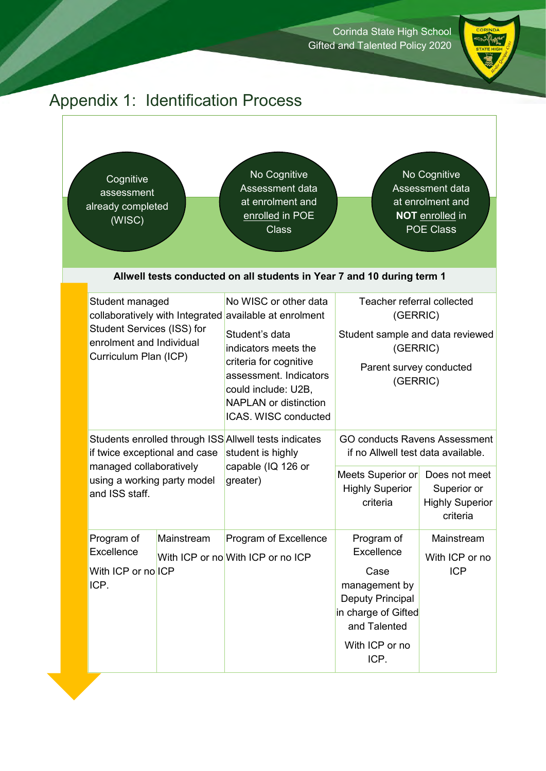

### Appendix 1: Identification Process

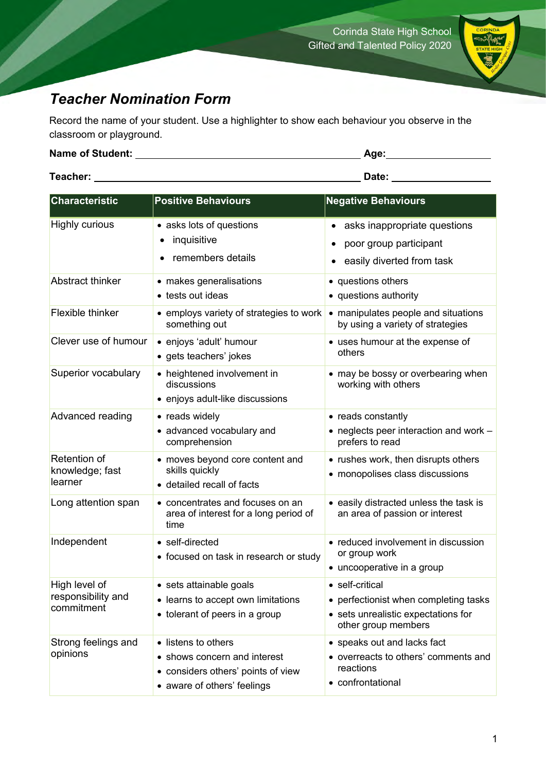

### <span id="page-8-0"></span>*Teacher Nomination Form*

Record the name of your student. Use a highlighter to show each behaviour you observe in the classroom or playground.

| <b>Name of Student:</b> | Age:  |
|-------------------------|-------|
|                         |       |
| Teacher:                | Date: |

| <b>Characteristic</b>                             | <b>Positive Behaviours</b>                                                                                               | <b>Negative Behaviours</b>                                                                                             |
|---------------------------------------------------|--------------------------------------------------------------------------------------------------------------------------|------------------------------------------------------------------------------------------------------------------------|
| <b>Highly curious</b>                             | • asks lots of questions<br>inquisitive<br>remembers details                                                             | asks inappropriate questions<br>poor group participant<br>easily diverted from task                                    |
| <b>Abstract thinker</b>                           | • makes generalisations<br>• tests out ideas                                                                             | • questions others<br>• questions authority                                                                            |
| Flexible thinker                                  | • employs variety of strategies to work<br>something out                                                                 | • manipulates people and situations<br>by using a variety of strategies                                                |
| Clever use of humour                              | • enjoys 'adult' humour<br>• gets teachers' jokes                                                                        | • uses humour at the expense of<br>others                                                                              |
| Superior vocabulary                               | • heightened involvement in<br>discussions<br>• enjoys adult-like discussions                                            | • may be bossy or overbearing when<br>working with others                                                              |
| Advanced reading                                  | • reads widely<br>• advanced vocabulary and<br>comprehension                                                             | • reads constantly<br>• neglects peer interaction and work -<br>prefers to read                                        |
| Retention of<br>knowledge; fast<br>learner        | • moves beyond core content and<br>skills quickly<br>• detailed recall of facts                                          | • rushes work, then disrupts others<br>• monopolises class discussions                                                 |
| Long attention span                               | • concentrates and focuses on an<br>area of interest for a long period of<br>time                                        | • easily distracted unless the task is<br>an area of passion or interest                                               |
| Independent                                       | • self-directed<br>• focused on task in research or study                                                                | • reduced involvement in discussion<br>or group work<br>• uncooperative in a group                                     |
| High level of<br>responsibility and<br>commitment | • sets attainable goals<br>• learns to accept own limitations<br>• tolerant of peers in a group                          | • self-critical<br>• perfectionist when completing tasks<br>• sets unrealistic expectations for<br>other group members |
| Strong feelings and<br>opinions                   | • listens to others<br>• shows concern and interest<br>• considers others' points of view<br>• aware of others' feelings | • speaks out and lacks fact<br>• overreacts to others' comments and<br>reactions<br>• confrontational                  |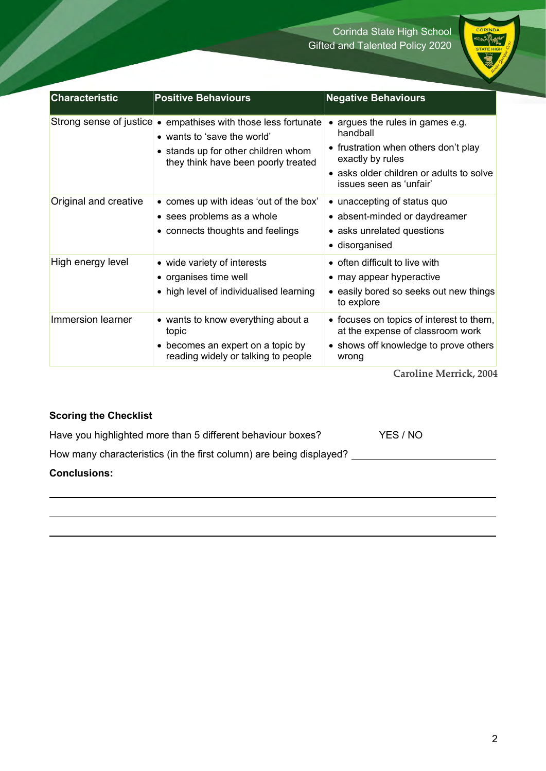

| <b>Characteristic</b> | <b>Positive Behaviours</b>                                                                                                                                                  | <b>Negative Behaviours</b>                                                                                                                                                    |
|-----------------------|-----------------------------------------------------------------------------------------------------------------------------------------------------------------------------|-------------------------------------------------------------------------------------------------------------------------------------------------------------------------------|
|                       | Strong sense of justice • empathises with those less fortunate<br>• wants to 'save the world'<br>• stands up for other children whom<br>they think have been poorly treated | argues the rules in games e.g.<br>handball<br>• frustration when others don't play<br>exactly by rules<br>• asks older children or adults to solve<br>issues seen as 'unfair' |
| Original and creative | • comes up with ideas 'out of the box'<br>• sees problems as a whole<br>• connects thoughts and feelings                                                                    | • unaccepting of status quo<br>• absent-minded or daydreamer<br>• asks unrelated questions<br>• disorganised                                                                  |
| High energy level     | • wide variety of interests<br>• organises time well<br>• high level of individualised learning                                                                             | • often difficult to live with<br>• may appear hyperactive<br>• easily bored so seeks out new things<br>to explore                                                            |
| Immersion learner     | • wants to know everything about a<br>topic<br>• becomes an expert on a topic by<br>reading widely or talking to people                                                     | • focuses on topics of interest to them,<br>at the expense of classroom work<br>• shows off knowledge to prove others<br>wrong                                                |

**Caroline Merrick, 2004**

### **Scoring the Checklist**

Have you highlighted more than 5 different behaviour boxes? YES / NO

How many characteristics (in the first column) are being displayed? **For all any contact to the example of** 

#### **Conclusions:**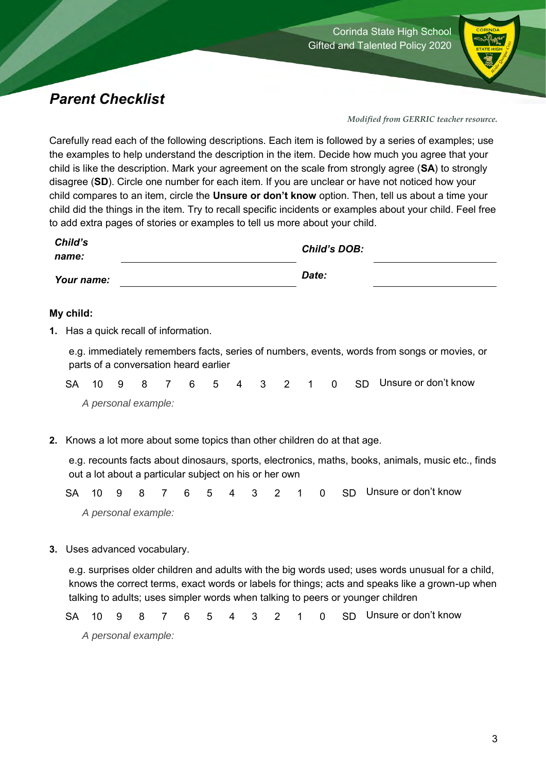

### <span id="page-10-0"></span>*Parent Checklist*

*Modified from GERRIC teacher resource.* 

Carefully read each of the following descriptions. Each item is followed by a series of examples; use the examples to help understand the description in the item. Decide how much you agree that your child is like the description. Mark your agreement on the scale from strongly agree (**SA**) to strongly disagree (**SD**). Circle one number for each item. If you are unclear or have not noticed how your child compares to an item, circle the **Unsure or don't know** option. Then, tell us about a time your child did the things in the item. Try to recall specific incidents or examples about your child. Feel free to add extra pages of stories or examples to tell us more about your child.

| Child's    | <b>Child's DOB:</b> |
|------------|---------------------|
| name:      |                     |
| Your name: | Date:               |

#### **My child:**

**1.** Has a quick recall of information.

e.g. immediately remembers facts, series of numbers, events, words from songs or movies, or parts of a conversation heard earlier

SA 10 9 8 7 6 5 4 3 2 1 0 SD Unsure or don't know *A personal example:* 

**2.** Knows a lot more about some topics than other children do at that age.

e.g. recounts facts about dinosaurs, sports, electronics, maths, books, animals, music etc., finds out a lot about a particular subject on his or her own

SA 10 9 8 7 6 5 4 3 2 1 0 SD Unsure or don't know *A personal example:* 

**3.** Uses advanced vocabulary.

e.g. surprises older children and adults with the big words used; uses words unusual for a child, knows the correct terms, exact words or labels for things; acts and speaks like a grown-up when talking to adults; uses simpler words when talking to peers or younger children

SA 10 9 8 7 6 5 4 3 2 1 0 SD Unsure or don't know

*A personal example:*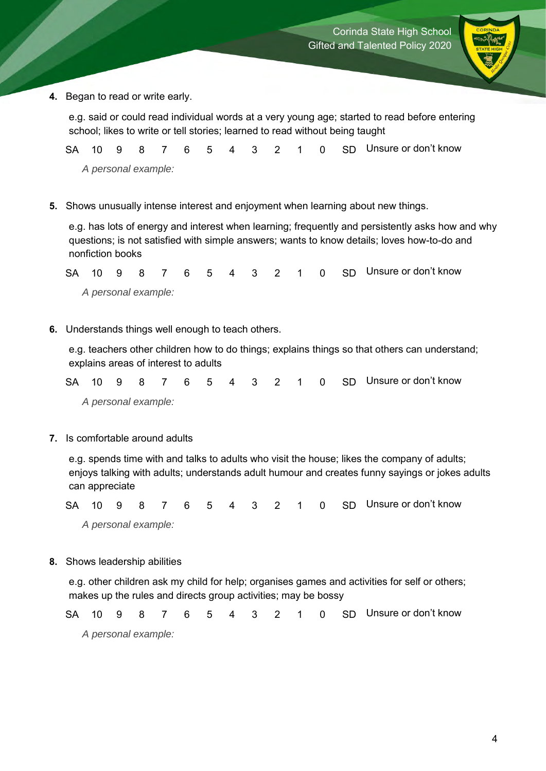

**4.** Began to read or write early.

e.g. said or could read individual words at a very young age; started to read before entering school; likes to write or tell stories; learned to read without being taught

SA 10 9 8 7 6 5 4 3 2 1 0 SD Unsure or don't know *A personal example:* 

**5.** Shows unusually intense interest and enjoyment when learning about new things.

e.g. has lots of energy and interest when learning; frequently and persistently asks how and why questions; is not satisfied with simple answers; wants to know details; loves how-to-do and nonfiction books

SA 10 9 8 7 6 5 4 3 2 1 0 SD Unsure or don't know *A personal example:* 

**6.** Understands things well enough to teach others.

e.g. teachers other children how to do things; explains things so that others can understand; explains areas of interest to adults

SA 10 9 8 7 6 5 4 3 2 1 0 SD Unsure or don't know *A personal example:* 

**7.** Is comfortable around adults

e.g. spends time with and talks to adults who visit the house; likes the company of adults; enjoys talking with adults; understands adult humour and creates funny sayings or jokes adults can appreciate

SA 10 9 8 7 6 5 4 3 2 1 0 SD Unsure or don't know *A personal example:* 

**8.** Shows leadership abilities

e.g. other children ask my child for help; organises games and activities for self or others; makes up the rules and directs group activities; may be bossy

SA 10 9 8 7 6 5 4 3 2 1 0 SD Unsure or don't know *A personal example:*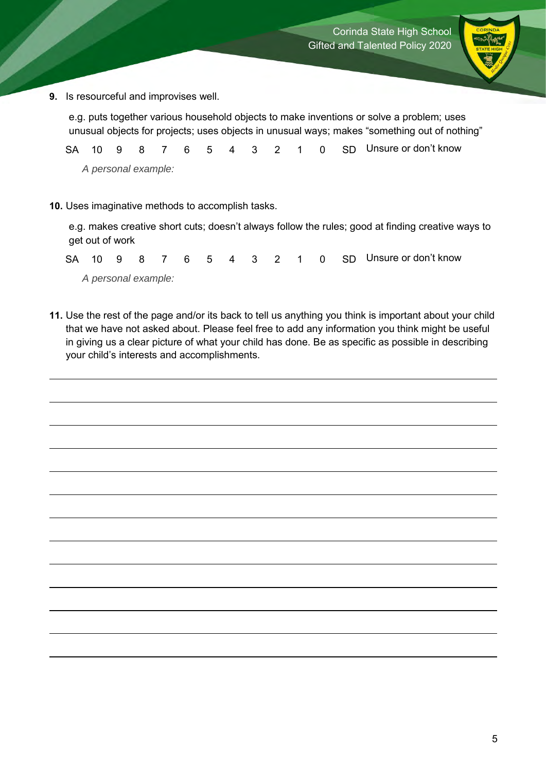

**9.** Is resourceful and improvises well.

e.g. puts together various household objects to make inventions or solve a problem; uses unusual objects for projects; uses objects in unusual ways; makes "something out of nothing"

SA 10 9 8 7 6 5 4 3 2 1 0 SD Unsure or don't know *A personal example:* 

**10.** Uses imaginative methods to accomplish tasks.

e.g. makes creative short cuts; doesn't always follow the rules; good at finding creative ways to get out of work

SA 10 9 8 7 6 5 4 3 2 1 0 SD Unsure or don't know *A personal example:* 

**11.** Use the rest of the page and/or its back to tell us anything you think is important about your child that we have not asked about. Please feel free to add any information you think might be useful in giving us a clear picture of what your child has done. Be as specific as possible in describing your child's interests and accomplishments.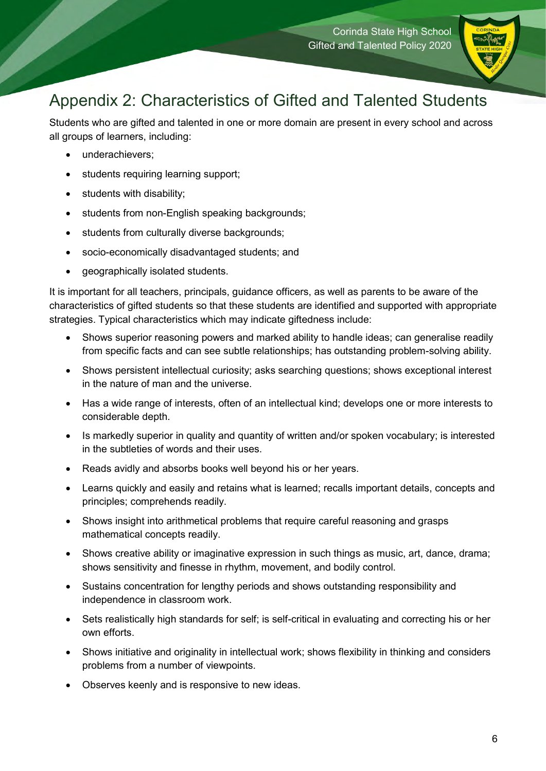

### <span id="page-13-0"></span>Appendix 2: Characteristics of Gifted and Talented Students

Students who are gifted and talented in one or more domain are present in every school and across all groups of learners, including:

- underachievers;
- students requiring learning support;
- students with disability;
- students from non-English speaking backgrounds;
- students from culturally diverse backgrounds;
- socio-economically disadvantaged students; and
- geographically isolated students.

It is important for all teachers, principals, guidance officers, as well as parents to be aware of the characteristics of gifted students so that these students are identified and supported with appropriate strategies. Typical characteristics which may indicate giftedness include:

- Shows superior reasoning powers and marked ability to handle ideas; can generalise readily from specific facts and can see subtle relationships; has outstanding problem-solving ability.
- Shows persistent intellectual curiosity; asks searching questions; shows exceptional interest in the nature of man and the universe.
- Has a wide range of interests, often of an intellectual kind; develops one or more interests to considerable depth.
- Is markedly superior in quality and quantity of written and/or spoken vocabulary; is interested in the subtleties of words and their uses.
- Reads avidly and absorbs books well beyond his or her years.
- Learns quickly and easily and retains what is learned; recalls important details, concepts and principles; comprehends readily.
- Shows insight into arithmetical problems that require careful reasoning and grasps mathematical concepts readily.
- Shows creative ability or imaginative expression in such things as music, art, dance, drama; shows sensitivity and finesse in rhythm, movement, and bodily control.
- Sustains concentration for lengthy periods and shows outstanding responsibility and independence in classroom work.
- Sets realistically high standards for self; is self-critical in evaluating and correcting his or her own efforts.
- Shows initiative and originality in intellectual work; shows flexibility in thinking and considers problems from a number of viewpoints.
- Observes keenly and is responsive to new ideas.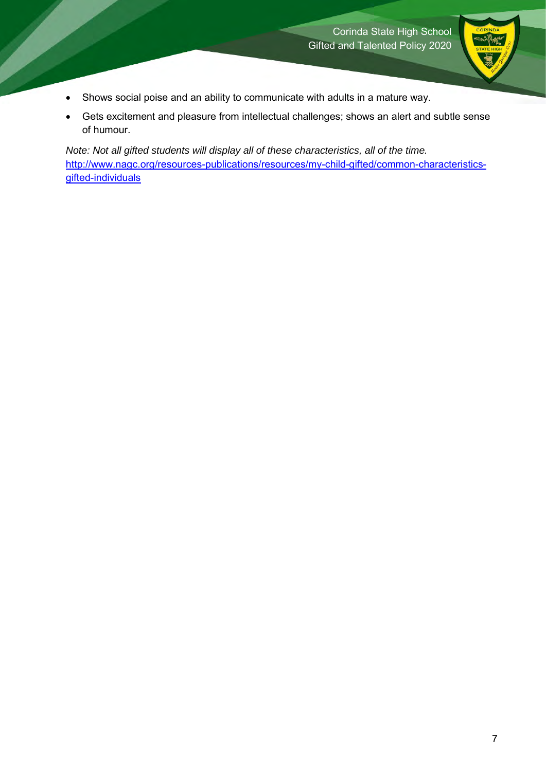

- Shows social poise and an ability to communicate with adults in a mature way.
- Gets excitement and pleasure from intellectual challenges; shows an alert and subtle sense of humour.

<span id="page-14-0"></span>*Note: Not all gifted students will display all of these characteristics, all of the time.* [http://www.nagc.org/resources-publications/resources/my-child-gifted/common-characteristics](http://www.nagc.org/resources-publications/resources/my-child-gifted/common-characteristics-gifted-individuals)[gifted-individuals](http://www.nagc.org/resources-publications/resources/my-child-gifted/common-characteristics-gifted-individuals)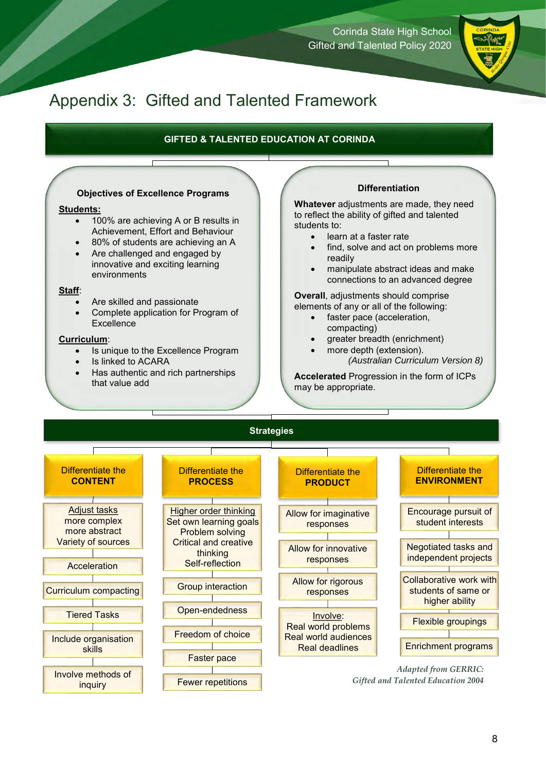Corinda State High School Gifted and Talented Policy 2020

### Appendix 3: Gifted and Talented Framework

#### **GIFTED & TALENTED EDUCATION AT CORINDA**

#### **Objectives of Excellence Programs**

#### **Students:**

- 100% are achieving A or B results in Achievement, Effort and Behaviour
- 80% of students are achieving an A
- Are challenged and engaged by innovative and exciting learning environments

#### **Staff**:

- Are skilled and passionate
- Complete application for Program of **Excellence**

#### **Curriculum**:

- Is unique to the Excellence Program
- Is linked to ACARA
- Has authentic and rich partnerships that value add

#### **Differentiation**

**Whatever** adjustments are made, they need to reflect the ability of gifted and talented students to:

- learn at a faster rate
- find, solve and act on problems more readily
- manipulate abstract ideas and make connections to an advanced degree

**Overall**, adjustments should comprise elements of any or all of the following:

- faster pace (acceleration, compacting)
- greater breadth (enrichment)
	- more depth (extension). *(Australian Curriculum Version 8)*

**Accelerated** Progression in the form of ICPs may be appropriate.

#### **Strategies**

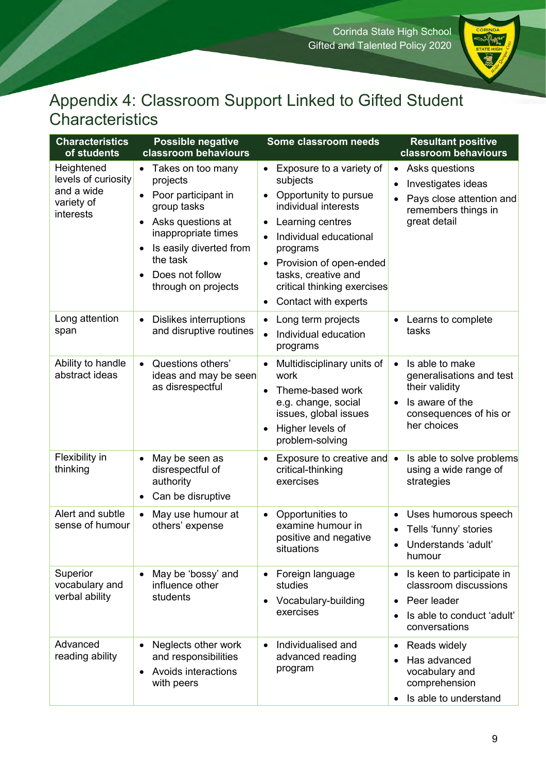

### <span id="page-16-0"></span>Appendix 4: Classroom Support Linked to Gifted Student Characteristics

| <b>Characteristics</b><br>of students                                      | <b>Possible negative</b><br>classroom behaviours                                                                                                                                                                                             | Some classroom needs                                                                                                                                                                                                                                                                                                   | <b>Resultant positive</b><br>classroom behaviours                                                                                                   |
|----------------------------------------------------------------------------|----------------------------------------------------------------------------------------------------------------------------------------------------------------------------------------------------------------------------------------------|------------------------------------------------------------------------------------------------------------------------------------------------------------------------------------------------------------------------------------------------------------------------------------------------------------------------|-----------------------------------------------------------------------------------------------------------------------------------------------------|
| Heightened<br>levels of curiosity<br>and a wide<br>variety of<br>interests | Takes on too many<br>$\bullet$<br>projects<br>Poor participant in<br>$\bullet$<br>group tasks<br>Asks questions at<br>٠<br>inappropriate times<br>Is easily diverted from<br>$\bullet$<br>the task<br>Does not follow<br>through on projects | Exposure to a variety of<br>٠<br>subjects<br>Opportunity to pursue<br>٠<br>individual interests<br>Learning centres<br>$\bullet$<br>Individual educational<br>$\bullet$<br>programs<br>Provision of open-ended<br>$\bullet$<br>tasks, creative and<br>critical thinking exercises<br>Contact with experts<br>$\bullet$ | Asks questions<br>$\bullet$<br>Investigates ideas<br>Pays close attention and<br>remembers things in<br>great detail                                |
| Long attention<br>span                                                     | Dislikes interruptions<br>$\bullet$<br>and disruptive routines                                                                                                                                                                               | Long term projects<br>$\bullet$<br>Individual education<br>$\bullet$<br>programs                                                                                                                                                                                                                                       | Learns to complete<br>$\bullet$<br>tasks                                                                                                            |
| Ability to handle<br>abstract ideas                                        | Questions others'<br>$\bullet$<br>ideas and may be seen<br>as disrespectful                                                                                                                                                                  | Multidisciplinary units of<br>work<br>Theme-based work<br>$\bullet$<br>e.g. change, social<br>issues, global issues<br>Higher levels of<br>$\bullet$<br>problem-solving                                                                                                                                                | Is able to make<br>$\bullet$<br>generalisations and test<br>their validity<br>Is aware of the<br>$\bullet$<br>consequences of his or<br>her choices |
| Flexibility in<br>thinking                                                 | May be seen as<br>$\bullet$<br>disrespectful of<br>authority<br>Can be disruptive<br>$\bullet$                                                                                                                                               | Exposure to creative and •<br>٠<br>critical-thinking<br>exercises                                                                                                                                                                                                                                                      | Is able to solve problems<br>using a wide range of<br>strategies                                                                                    |
| Alert and subtle<br>sense of humour                                        | May use humour at<br>$\bullet$<br>others' expense                                                                                                                                                                                            | Opportunities to<br>$\bullet$<br>examine humour in<br>positive and negative<br>situations                                                                                                                                                                                                                              | Uses humorous speech<br>Tells 'funny' stories<br>Understands 'adult'<br>humour                                                                      |
| Superior<br>vocabulary and<br>verbal ability                               | May be 'bossy' and<br>$\bullet$<br>influence other<br>students                                                                                                                                                                               | Foreign language<br>٠<br>studies<br>Vocabulary-building<br>٠<br>exercises                                                                                                                                                                                                                                              | Is keen to participate in<br>classroom discussions<br>Peer leader<br>Is able to conduct 'adult'<br>$\bullet$<br>conversations                       |
| Advanced<br>reading ability                                                | Neglects other work<br>$\bullet$<br>and responsibilities<br>Avoids interactions<br>$\bullet$<br>with peers                                                                                                                                   | Individualised and<br>$\bullet$<br>advanced reading<br>program                                                                                                                                                                                                                                                         | Reads widely<br>Has advanced<br>vocabulary and<br>comprehension<br>Is able to understand                                                            |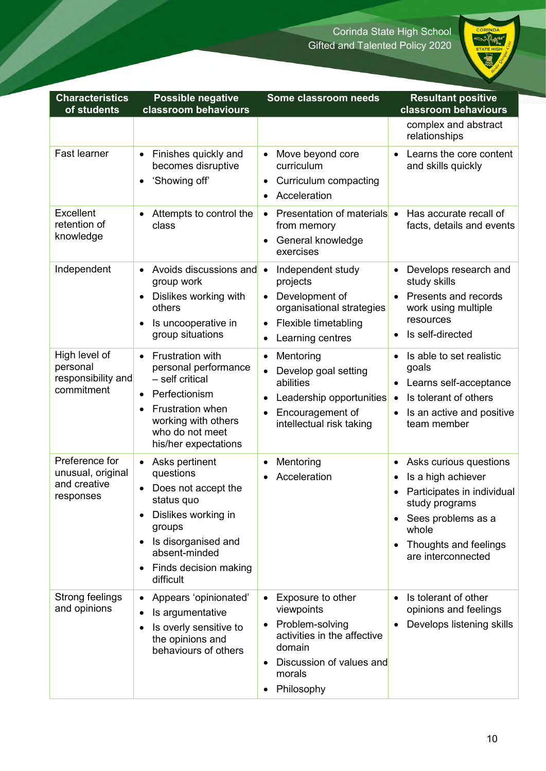

| <b>Characteristics</b><br>of students                            | <b>Possible negative</b><br>classroom behaviours                                                                                                                                                                                                 | Some classroom needs                                                                                                                                                             | <b>Resultant positive</b><br>classroom behaviours                                                                                                                                       |
|------------------------------------------------------------------|--------------------------------------------------------------------------------------------------------------------------------------------------------------------------------------------------------------------------------------------------|----------------------------------------------------------------------------------------------------------------------------------------------------------------------------------|-----------------------------------------------------------------------------------------------------------------------------------------------------------------------------------------|
|                                                                  |                                                                                                                                                                                                                                                  |                                                                                                                                                                                  | complex and abstract<br>relationships                                                                                                                                                   |
| <b>Fast learner</b>                                              | Finishes quickly and<br>$\bullet$<br>becomes disruptive<br>'Showing off'<br>$\bullet$                                                                                                                                                            | Move beyond core<br>$\bullet$<br>curriculum<br>Curriculum compacting<br>٠<br>Acceleration<br>$\bullet$                                                                           | Learns the core content<br>and skills quickly                                                                                                                                           |
| <b>Excellent</b><br>retention of<br>knowledge                    | Attempts to control the<br>$\bullet$<br>class                                                                                                                                                                                                    | • Presentation of materials •<br>from memory<br>General knowledge<br>$\bullet$<br>exercises                                                                                      | Has accurate recall of<br>facts, details and events                                                                                                                                     |
| Independent                                                      | Avoids discussions and<br>$\bullet$<br>group work<br>Dislikes working with<br>$\bullet$<br>others<br>Is uncooperative in<br>$\bullet$<br>group situations                                                                                        | Independent study<br>$\bullet$<br>projects<br>Development of<br>$\bullet$<br>organisational strategies<br>Flexible timetabling<br>$\bullet$<br>Learning centres<br>٠             | Develops research and<br>study skills<br>Presents and records<br>work using multiple<br>resources<br>Is self-directed                                                                   |
| High level of<br>personal<br>responsibility and<br>commitment    | <b>Frustration with</b><br>$\bullet$<br>personal performance<br>- self critical<br>Perfectionism<br>$\bullet$<br>Frustration when<br>$\bullet$<br>working with others<br>who do not meet<br>his/her expectations                                 | Mentoring<br>$\bullet$<br>Develop goal setting<br>$\bullet$<br>abilities<br>Leadership opportunities<br>Encouragement of<br>$\bullet$<br>intellectual risk taking                | Is able to set realistic<br>$\bullet$<br>goals<br>Learns self-acceptance<br>٠<br>Is tolerant of others<br>$\bullet$<br>Is an active and positive<br>team member                         |
| Preference for<br>unusual, original<br>and creative<br>responses | Asks pertinent<br>$\bullet$<br>questions<br>Does not accept the<br>$\bullet$<br>status quo<br>Dislikes working in<br>$\bullet$<br>groups<br>Is disorganised and<br>$\bullet$<br>absent-minded<br>Finds decision making<br>$\bullet$<br>difficult | Mentoring<br>٠<br>Acceleration<br>$\bullet$                                                                                                                                      | Asks curious questions<br>$\bullet$<br>Is a high achiever<br>Participates in individual<br>study programs<br>Sees problems as a<br>whole<br>Thoughts and feelings<br>are interconnected |
| Strong feelings<br>and opinions                                  | Appears 'opinionated'<br>$\bullet$<br>Is argumentative<br>$\bullet$<br>Is overly sensitive to<br>$\bullet$<br>the opinions and<br>behaviours of others                                                                                           | • Exposure to other<br>viewpoints<br>Problem-solving<br>$\bullet$<br>activities in the affective<br>domain<br>Discussion of values and<br>$\bullet$<br>morals<br>Philosophy<br>٠ | Is tolerant of other<br>$\bullet$<br>opinions and feelings<br>Develops listening skills                                                                                                 |